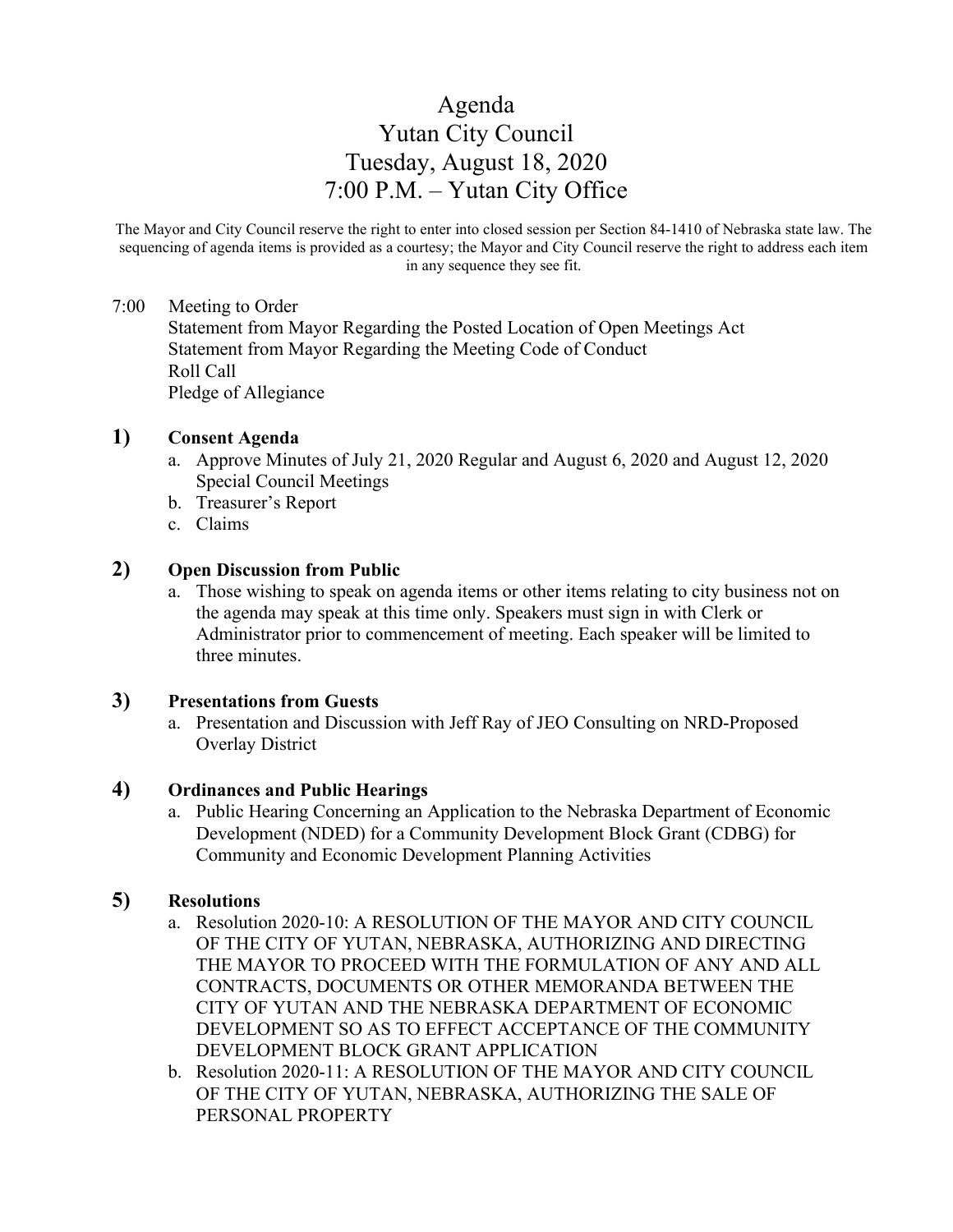# Agenda Yutan City Council Tuesday, August 18, 2020 7:00 P.M. – Yutan City Office

The Mayor and City Council reserve the right to enter into closed session per Section 84-1410 of Nebraska state law. The sequencing of agenda items is provided as a courtesy; the Mayor and City Council reserve the right to address each item in any sequence they see fit.

## 7:00 Meeting to Order

Statement from Mayor Regarding the Posted Location of Open Meetings Act Statement from Mayor Regarding the Meeting Code of Conduct Roll Call Pledge of Allegiance

#### **1) Consent Agenda**

- a. Approve Minutes of July 21, 2020 Regular and August 6, 2020 and August 12, 2020 Special Council Meetings
- b. Treasurer's Report
- c. Claims

## **2) Open Discussion from Public**

a. Those wishing to speak on agenda items or other items relating to city business not on the agenda may speak at this time only. Speakers must sign in with Clerk or Administrator prior to commencement of meeting. Each speaker will be limited to three minutes.

#### **3) Presentations from Guests**

a. Presentation and Discussion with Jeff Ray of JEO Consulting on NRD-Proposed Overlay District

## **4) Ordinances and Public Hearings**

a. Public Hearing Concerning an Application to the Nebraska Department of Economic Development (NDED) for a Community Development Block Grant (CDBG) for Community and Economic Development Planning Activities

# **5) Resolutions**

- a. Resolution 2020-10: A RESOLUTION OF THE MAYOR AND CITY COUNCIL OF THE CITY OF YUTAN, NEBRASKA, AUTHORIZING AND DIRECTING THE MAYOR TO PROCEED WITH THE FORMULATION OF ANY AND ALL CONTRACTS, DOCUMENTS OR OTHER MEMORANDA BETWEEN THE CITY OF YUTAN AND THE NEBRASKA DEPARTMENT OF ECONOMIC DEVELOPMENT SO AS TO EFFECT ACCEPTANCE OF THE COMMUNITY DEVELOPMENT BLOCK GRANT APPLICATION
- b. Resolution 2020-11: A RESOLUTION OF THE MAYOR AND CITY COUNCIL OF THE CITY OF YUTAN, NEBRASKA, AUTHORIZING THE SALE OF PERSONAL PROPERTY